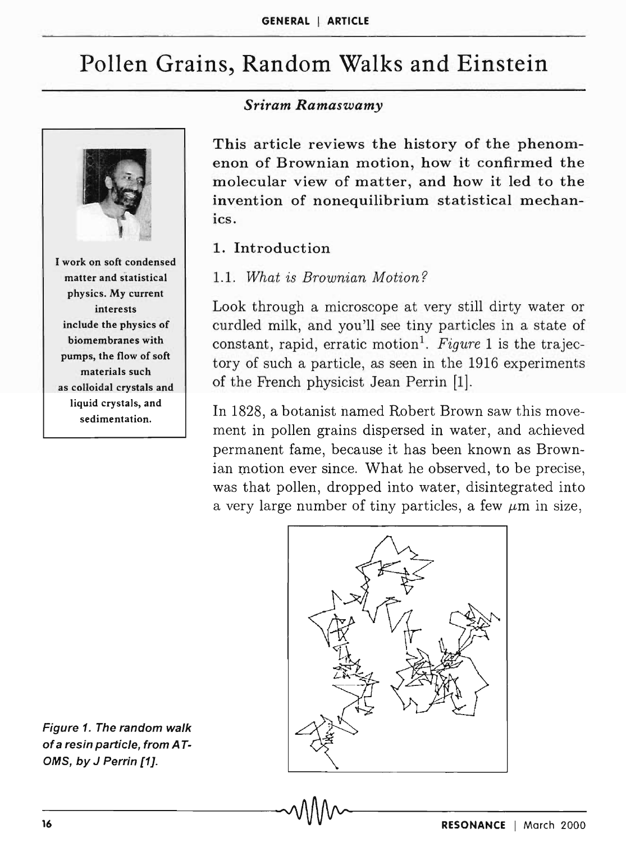# Pollen Grains, Random Walks and Einstein



I work on soft condensed matter and statistical physics. My current interests include the physics of biomembranes with pumps, the flow of soft materials such as colloidal crystals and liquid crystals, and sedimentation.

#### *Sriram Ramaswamy*

This article reviews the history of the phenomenon of Brownian motion, how it confirmed the molecular view of matter, and how it led to the invention of nonequilibrium statistical mechanics.

#### 1. Introduction

### 1.1. *What is Brownian Motion?*

Look through a microscope at very still dirty water or curdled milk, and you'll see tiny particles in a state of constant, rapid, erratic motion<sup>1</sup>. *Figure* 1 is the trajectory of such a particle, as seen in the 1916 experiments of the French physicist Jean Perrin [1].

In 1828, a botanist named Robert Brown saw this movement in pollen grains dispersed in water, and achieved permanent fame, because it has been known as Brownian motion ever since. What he observed, to be precise, was that pollen, dropped into water, disintegrated into a very large number of tiny particles, a few  $\mu$ m in size,



Figure 1. The random walk of a resin particle, from A T-OMS, by J Perrin [1].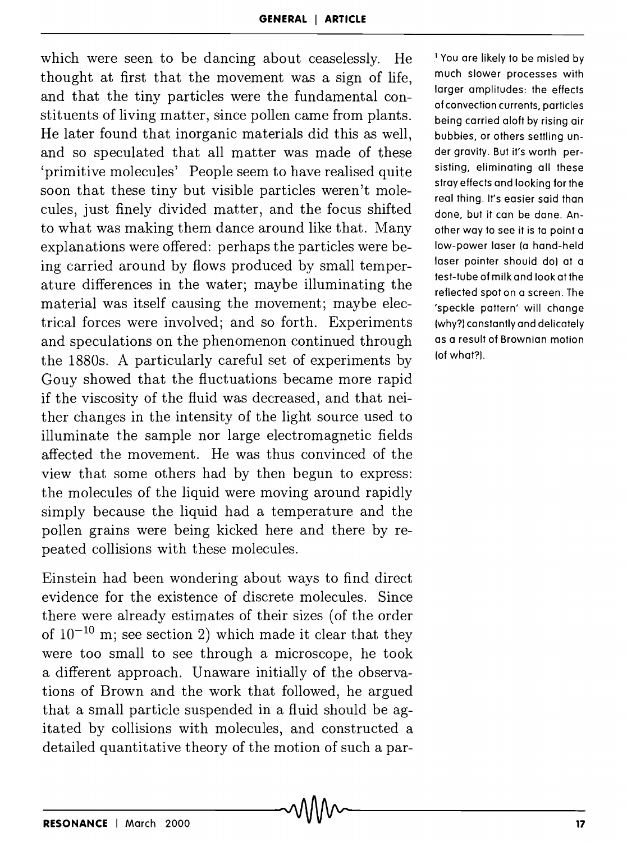which were seen to be dancing about ceaselessly. He thought at first that the movement was a sign of life, and that the tiny particles were the fundamental constituents of living matter, since pollen came from plants. He later found that inorganic materials did this as well, and so speculated that all matter was made of these 'primitive molecules' People seem to have realised quite soon that these tiny but visible particles weren't molecules, just finely divided matter, and the focus shifted to what was making them dance around like that. Many explanations were offered: perhaps the particles were being carried around by flows produced by small temperature differences in the water; maybe illuminating the material was itself causing the movement; maybe electrical forces were involved; and so forth. Experiments and speculations on the phenomenon continued through the 1880s. A particularly careful set of experiments by Gouy showed that the fluctuations became more rapid if the viscosity of the fluid was decreased, and that neither changes in the intensity of the light source used to illuminate the sample nor large electromagnetic fields affected the movement. He was thus convinced of the view that some others had by then begun to express: the molecules of the liquid were moving around rapidly simply because the liquid had a temperature and the pollen grains were being kicked here and there by repeated collisions with these molecules.

Einstein had been wondering about ways to find direct evidence for the existence of discrete molecules. Since there were already estimates of their sizes (of the order of  $10^{-10}$  m; see section 2) which made it clear that they were too small to see through a microscope, he took a different approach. Unaware initially of the observations of Brown and the work that followed, he argued that a small particle suspended in a fluid should be agitated by collisions with molecules, and constructed a detailed quantitative theory of the motion of such a par1 You are likely to be misled by much slower processes with larger amplitudes: the effects of convection currents, particles being carried aloft by rising air bubbles, or others settling under gravity. But it's worth persisting, eliminating all these stray effects and looking for the real thing. It's easier said than done, but it can be done. Another way to see it is to point a low-power laser (a hand-held laser pointer should do) at a test-tube of milk and look at the reflected spot on a screen. The 'speckle pattern' will change (why?) constantly and delicately as a result of Brownian motion (of what?).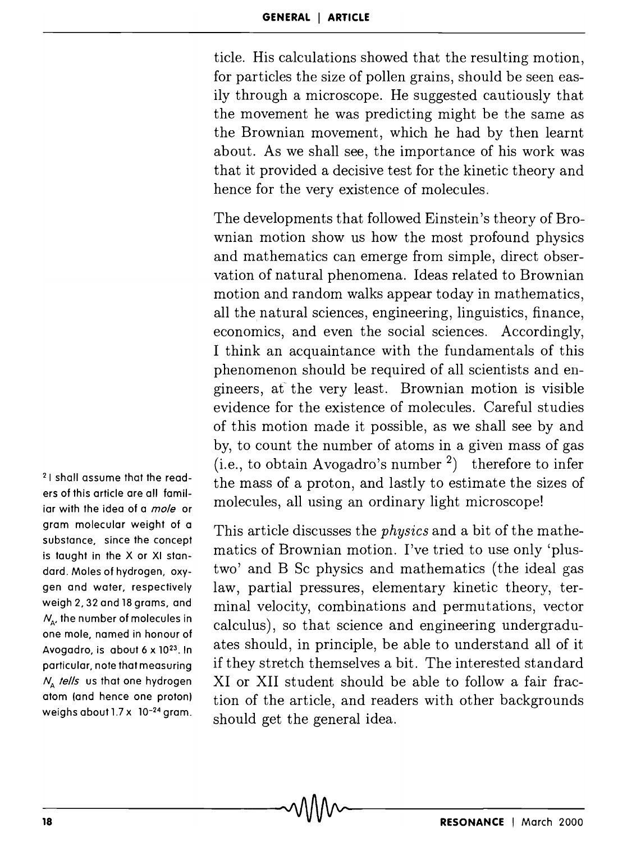ticle. His calculations showed that the resulting motion, for particles the size of pollen grains, should be seen easily through a microscope. He suggested cautiously that the movement he was predicting might be the same as the Brownian movement, which he had by then learnt about. As we shall see, the importance of his work was that it provided a decisive test for the kinetic theory and hence for the very existence of molecules.

The developments that followed Einstein's theory of Brownian motion show us how the most profound physics and mathematics can emerge from simple, direct observation of natural phenomena. Ideas related to Brownian motion and random walks appear today in mathematics, all the natural sciences, engineering, linguistics, finance, economics, and even the social sciences. Accordingly, I think an acquaintance with the fundamentals of this phenomenon should be required of all scientists and engineers, af the very least. Brownian motion is visible evidence for the existence of molecules. Careful studies of this motion made it possible, as we shall see by and by, to count the number of atoms in a given mass of gas (i.e., to obtain Avogadro's number  $2$ ) therefore to infer the mass of a proton, and lastly to estimate the sizes of molecules, all using an ordinary light microscope!

This article discusses the *physics* and a bit of the mathematics of Brownian motion. I've tried to use only 'plustwo' and B Sc physics and mathematics (the ideal gas law, partial pressures, elementary kinetic theory, terminal velocity, combinations and permutations, vector calculus), so that science and engineering undergraduates should, in principle, be able to understand all of it if they stretch themselves a bit. The interested standard XI or XII student should be able to follow a fair fraction of the article, and readers with other backgrounds should get the general idea.

2 I shall assume that the readers of this article are all familiar with the idea of a *mole* or gram molecular weight of a substance, since the concept is taught in the X or XI standard. Moles of hydrogen, oxygen and water, respectively weigh 2, 32 and 18 grams, and  $N_{\rm A}$ , the number of molecules in one mole, named in honour of Avogadro, is about 6 x 1023 . In particular, note that measuring *N<sub>n</sub>* tells us that one hydrogen atom (and hence one proton) weighs about 1.7 x 10-24 gram.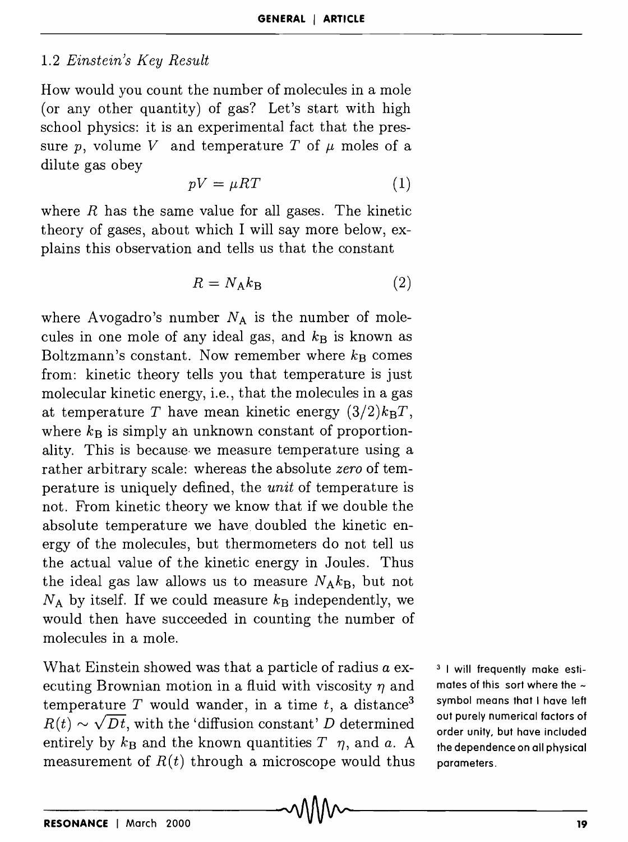#### 1.2 *Einstein's Key Result*

How would you count the number of molecules in a mole (or any other quantity) of gas? Let's start with high school physics: it is an experimental fact that the pressure  $p$ , volume  $V$  and temperature  $T$  of  $\mu$  moles of a dilute gas obey

$$
pV = \mu RT \tag{1}
$$

where *R* has the same value for all gases. The kinetic theory of gases, about which I will say more below, explains this observation and tells us that the constant

$$
R = N_A k_B \tag{2}
$$

where Avogadro's number  $N_A$  is the number of molecules in one mole of any ideal gas, and  $k_B$  is known as Boltzmann's constant. Now remember where  $k_B$  comes from: kinetic theory tells you that temperature is just molecular kinetic energy, i.e., that the molecules in a gas at temperature *T* have mean kinetic energy  $(3/2)k_BT$ , where  $k_B$  is simply an unknown constant of proportionality. This is because· we measure temperature using a rather arbitrary scale: whereas the absolute *zero* of temperature is uniquely defined, the *unit* of temperature is not. From kinetic theory we know that if we double the absolute temperature we have doubled the kinetic energy of the molecules, but thermometers do not tell us the actual value of the kinetic energy in Joules. Thus the ideal gas law allows us to measure  $N_A k_B$ , but not  $N_A$  by itself. If we could measure  $k_B$  independently, we would then have succeeded in counting the number of molecules in a mole.

What Einstein showed was that a particle of radius *a* executing Brownian motion in a fluid with viscosity  $\eta$  and temperature T would wander, in a time  $t$ , a distance<sup>3</sup>  $R(t) \sim \sqrt{Dt}$ , with the 'diffusion constant' *D* determined entirely by  $k_B$  and the known quantities  $T$   $\eta$ , and  $a$ . A measurement of  $R(t)$  through a microscope would thus

-R-ES-O-N-A-N-C-E--I-M-a-rc-h--2-00-0------------~-----------------------------1-9

3 I will frequently make estimates of this sort where the  $\sim$ symbol means that I have left out purely numerical factors of order unity, but have included the dependence on all physical parameters.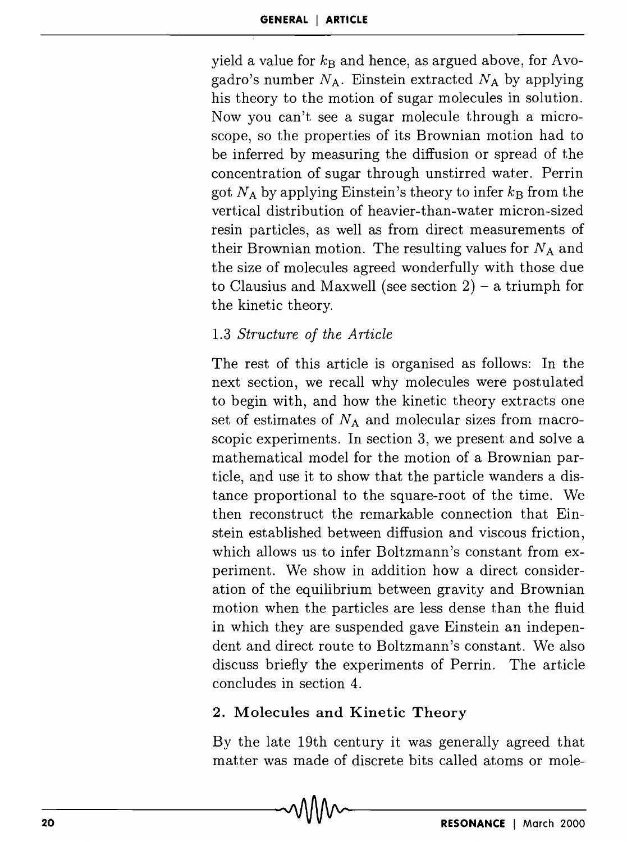yield a value for  $k_B$  and hence, as argued above, for Avogadro's number  $N_A$ . Einstein extracted  $N_A$  by applying his theory to the motion of sugar molecules in solution. Now you can't see a sugar molecule through a microscope, so the properties of its Brownian motion had to be inferred by measuring the diffusion or spread of the concentration of sugar through unstirred water. Perrin got  $N_A$  by applying Einstein's theory to infer  $k_B$  from the vertical distribution of heavier-than-water micron-sized resin particles, as well as from direct measurements of their Brownian motion. The resulting values for  $N_A$  and the size of molecules agreed wonderfully with those due to Clausius and Maxwell (see section  $2$ ) - a triumph for the kinetic theory.

# *1.3 Structure of the Article*

The rest of this article is organised as follows: In the next section, we recall why molecules were postulated to begin with, and how the kinetic theory extracts one set of estimates of  $N_A$  and molecular sizes from macroscopic experiments. In section 3, we present and solve a mathematical model for the motion of a Brownian particle, and use it to show that the particle wanders a distance proportional to the square-root of the time. We then reconstruct the remarkable connection that Einstein established between diffusion and viscous friction, which allows us to infer Boltzmann's constant from experiment. We show in addition how a direct consideration of the equilibrium between gravity and Brownian motion when the particles are less dense than the fluid in which they are suspended gave Einstein an independent and direct route to Boltzmann's constant. We also discuss briefly the experiments of Perrin. The article concludes in section 4.

## 2. Molecules and Kinetic Theory

By the late 19th century it was generally agreed that matter was made of discrete bits called atoms or mole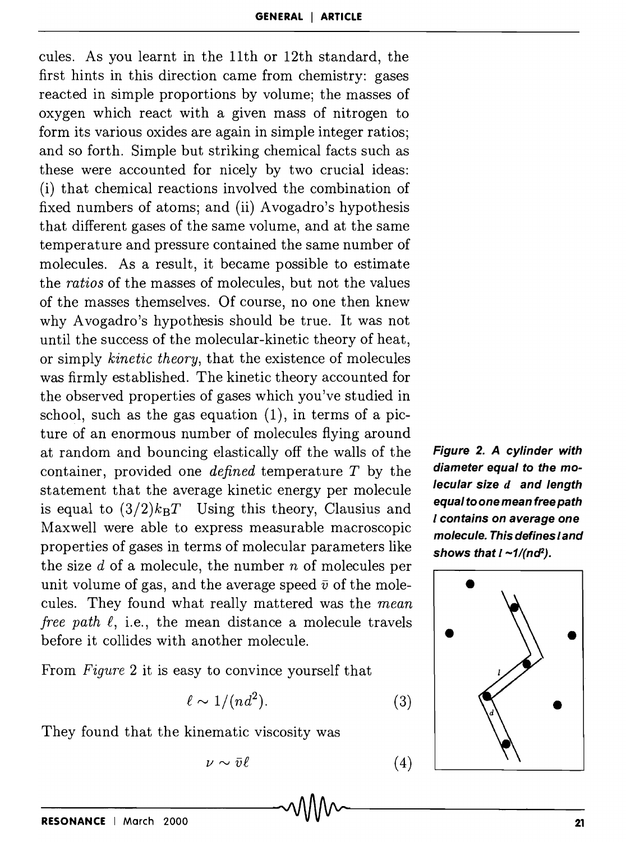cules. As you learnt in the 11th or 12th standard, the first hints in this direction came from chemistry: gases reacted in simple proportions by volume; the masses of oxygen which react with a given mass of nitrogen to form its various oxides are again in simple integer ratios; and so forth. Simple but striking chemical facts such as these were accounted for nicely by two crucial ideas: (i) that chemical reactions involved the combination of fixed numbers of atoms; and (ii) Avogadro's hypothesis that different gases of the same volume, and at the same temperature and pressure contained the same number of molecules. As a result, it became possible to estimate the *ratios* of the masses of molecules, but not the values of the masses themselves. Of course, no one then knew why Avogadro's hypothesis should be true. It was not until the success of the molecular-kinetic theory of heat, or simply *kinetic theory,* that the existence of molecules was firmly established. The kinetic theory accounted for the observed properties of gases which you've studied in school, such as the gas equation (1), in terms of a picture of an enormous number of molecules flying around at random and bouncing elastically off the walls of the container, provided one *defined* temperature *T* by the statement that the average kinetic energy per molecule is equal to  $(3/2)k_BT$  Using this theory, Clausius and Maxwell were able to express measurable macroscopic properties of gases in terms of molecular parameters like the size *d* of a molecule, the number *n* of molecules per unit volume of gas, and the average speed  $\bar{v}$  of the molecules. They found what really mattered was the *mean free path*  $\ell$ *, i.e., the mean distance a molecule travels* before it collides with another molecule.

From *Figure* 2 it is easy to convince yourself that

$$
\ell \sim 1/(nd^2). \tag{3}
$$

(4)

They found that the kinematic viscosity was

$$
\nu \sim \bar{v} \ell
$$

**Figure 2. A cylinder with diameter equal to the molecular size d and length equal to one mean free path I contains on average one molecule. This defines I and**  shows that  $l \sim 1/(nd^2)$ .

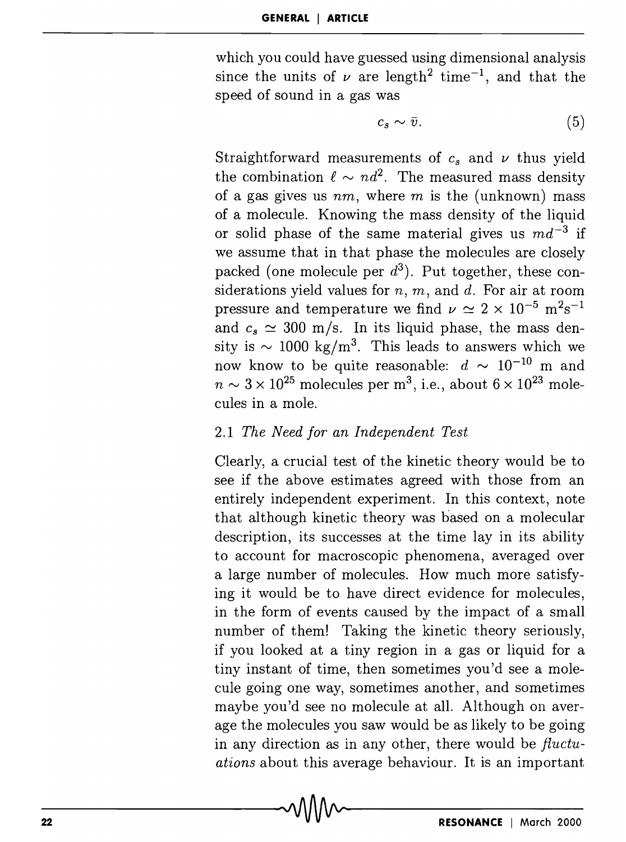which you could have guessed using dimensional analysis since the units of  $\nu$  are length<sup>2</sup> time<sup>-1</sup>, and that the speed of sound in a gas was

$$
c_s \sim \bar{v}.\tag{5}
$$

Straightforward measurements of  $c_s$  and  $\nu$  thus yield the combination  $\ell \sim nd^2$ . The measured mass density of a gas gives us  $nm$ , where m is the (unknown) mass of a molecule. Knowing the mass density of the liquid or solid phase of the same material gives us  $md^{-3}$  if we assume that in that phase the molecules are closely packed (one molecule per  $d^3$ ). Put together, these considerations yield values for *n,* m, and *d.* For air at room pressure and temperature we find  $\nu \approx 2 \times 10^{-5} \text{ m}^2\text{s}^{-1}$ and  $c_s \simeq 300$  m/s. In its liquid phase, the mass density is  $\sim 1000 \text{ kg/m}^3$ . This leads to answers which we now know to be quite reasonable:  $d \sim 10^{-10}$  m and  $n \sim 3 \times 10^{25}$  molecules per m<sup>3</sup>, i.e., about  $6 \times 10^{23}$  molecules in a mole.

#### *2.1 The Need for an Independent Test*

Clearly, a crucial test of the kinetic theory would be to see if the above estimates agreed with those from an entirely independent experiment. In this context, note that although kinetic theory was based on a molecular description, its successes at the time lay in its ability to account for macroscopic phenomena, averaged over a large number of molecules. How much more satisfying it would be to have direct evidence for molecules, in the form of events caused by the impact of a small number of them! Taking the kinetic theory seriously, if you looked at a tiny region in a gas or liquid for a tiny instant of time, then sometimes you'd see a molecule going one way, sometimes another, and sometimes maybe you'd see no molecule at all. Although on average the molecules you saw would be as likely to be going in any direction as in any other, there would be *fluctuations* about this average behaviour. It is an important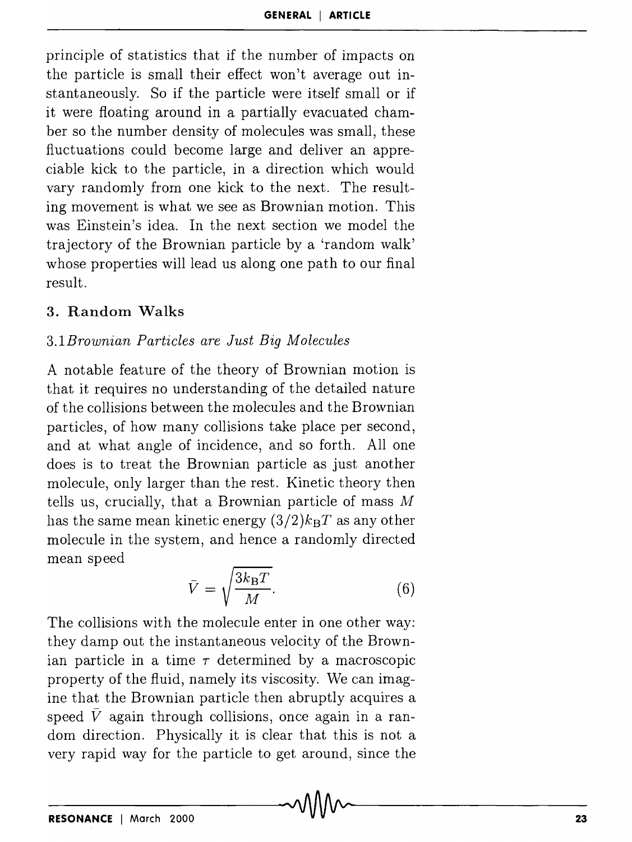principle of statistics that if the number of impacts on the particle is small their effect won't average out instantaneously. So if the particle were itself small or if it were floating around in a partially evacuated chamber so the number density of molecules was small, these fluctuations could become large and deliver an appreciable kick to the particle, in a direction which would vary randomly from one kick to the next. The resulting movement is what we see as Brownian motion. This was Einstein's idea. In the next section we model the trajectory of the Brownian particle by a 'random walk' whose properties will lead us along one path to our final result.

# 3. Random Walks

# *3.1Brownian Particles are Just Big Molecules*

A notable feature of the theory of Brownian motion is that it requires no understanding of the detailed nature of the collisions between the molecules and the Brownian particles, of how many collisions take place per second, and at what angle of incidence, and so forth. All one does is to treat the Brownian particle as just another molecule, only larger than the rest. Kinetic theory then tells us, crucially, that a Brownian particle of mass *M*  has the same mean kinetic energy  $(3/2)k_BT$  as any other molecule in the system, and hence a randomly directed mean speed

$$
\bar{V} = \sqrt{\frac{3k_{\rm B}T}{M}}.\tag{6}
$$

The collisions with the molecule enter in one other way: they damp out the instantaneous velocity of the Brownian particle in a time  $\tau$  determined by a macroscopic property of the fluid, namely its viscosity. We can imagine that the Brownian particle then abruptly acquires a speed  $\bar{V}$  again through collisions, once again in a random direction. Physically it is clear that this is not a very rapid way for the particle to get around, since the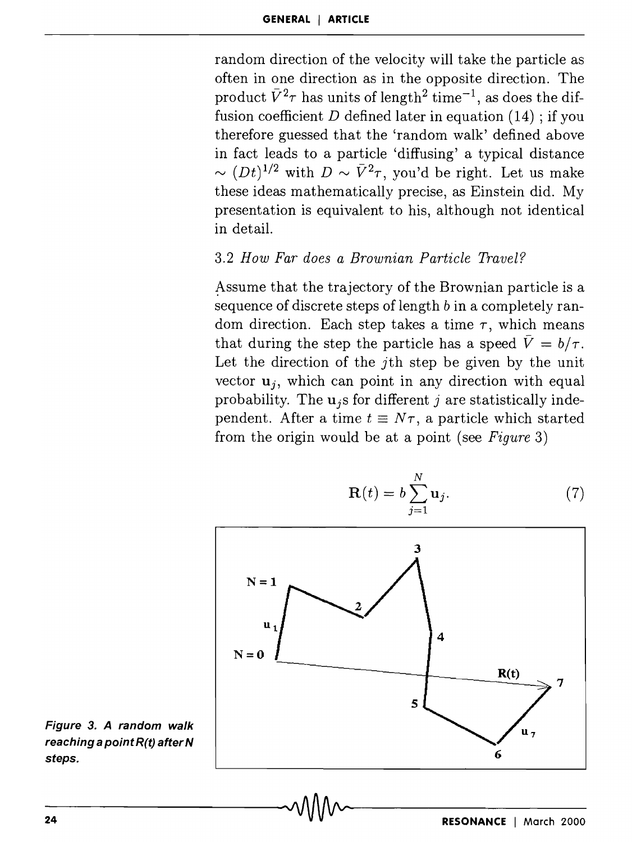random direction of the velocity will take the particle as often in one direction as in the opposite direction. The product  $\bar{V}^2 \tau$  has units of length<sup>2</sup> time<sup>-1</sup>, as does the diffusion coefficient D defined later in equation  $(14)$ : if you therefore guessed that the 'random walk' defined above in fact leads to a particle 'diffusing' a typical distance  $\sim (Dt)^{1/2}$  with  $D \sim \bar{V}^2 \tau$ , you'd be right. Let us make these ideas mathematically precise, as Einstein did. My presentation is equivalent to his, although not identical in detail.

#### *3.2 How Far does a Brownian Particle Travel?*

Assume that the trajectory of the Brownian particle is a sequence of discrete steps of length b in a completely random direction. Each step takes a time  $\tau$ , which means that during the step the particle has a speed  $\bar{V} = b/\tau$ . Let the direction of the jth step be given by the unit vector  $\mathbf{u}_i$ , which can point in any direction with equal probability. The  $\mathbf{u}_i$ s for different j are statistically independent. After a time  $t \equiv N\tau$ , a particle which started from the origin would be at a point (see *Figure* 3)



**Figure 3. A random walk reaching a point R(t) after N steps.**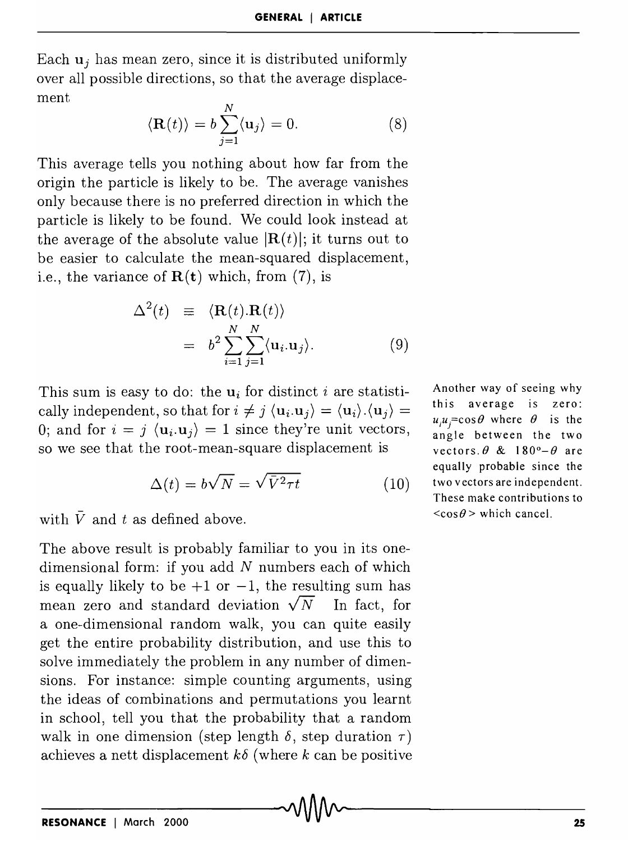Each  $\mathbf{u}_i$  has mean zero, since it is distributed uniformly over all possible directions, so that the average displacement

$$
\langle \mathbf{R}(t) \rangle = b \sum_{j=1}^{N} \langle \mathbf{u}_j \rangle = 0. \tag{8}
$$

This average tells you nothing about how far from the origin the particle is likely to be. The average vanishes only because there is no preferred direction in which the particle is likely to be found. We could look instead at the average of the absolute value  $|\mathbf{R}(t)|$ ; it turns out to be easier to calculate the mean-squared displacement, i.e., the variance of  $R(t)$  which, from (7), is

$$
\Delta^{2}(t) \equiv \langle \mathbf{R}(t) . \mathbf{R}(t) \rangle \n= b^{2} \sum_{i=1}^{N} \sum_{j=1}^{N} \langle \mathbf{u}_{i} . \mathbf{u}_{j} \rangle.
$$
\n(9)

This sum is easy to do: the  $\mathbf{u}_i$  for distinct i are statistically independent, so that for  $i \neq j \langle u_i.u_j \rangle = \langle u_i \rangle \langle u_j \rangle =$ 0; and for  $i = j \langle u_i.u_j \rangle = 1$  since they're unit vectors, so we see that the root-mean-square displacement is

$$
\Delta(t) = b\sqrt{N} = \sqrt{\bar{V}^2 \tau t} \tag{10}
$$

with  $\overline{V}$  and t as defined above.

The above result is probably familiar to you in its onedimensional form: if you add  $N$  numbers each of which is equally likely to be  $+1$  or  $-1$ , the resulting sum has mean zero and standard deviation  $\sqrt{N}$  In fact, for a one-dimensional random walk, you can quite easily get the entire probability distribution, and use this to solve immediately the problem in any number of dimensions. For instance: simple counting arguments, using the ideas of combinations and permutations you learnt in school, tell you that the probability that a random walk in one dimension (step length  $\delta$ , step duration  $\tau$ ) achieves a nett displacement  $k\delta$  (where k can be positive Another way of seeing why this average is zero:  $u_iu_j = \cos\theta$  where  $\theta$  is the angle between the two vectors.  $\theta \& 180^\circ - \theta$  are equally probable since the two vectors are independent. These make contributions to  $<$ cos $\theta$  > which cancel.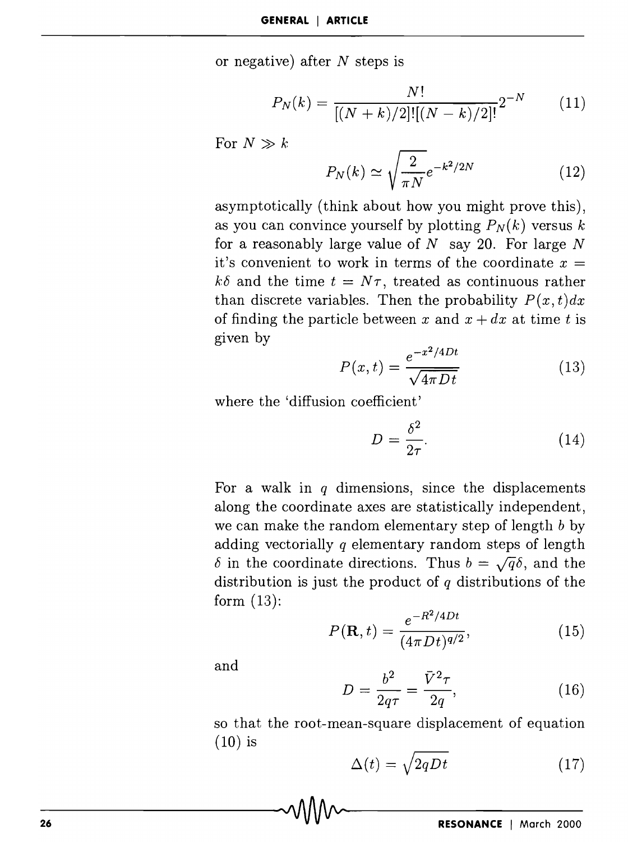or negative) after N steps is

$$
P_N(k) = \frac{N!}{[(N+k)/2]![(N-k)/2]!} 2^{-N}
$$
 (11)

For  $N \gg k$ 

$$
P_N(k) \simeq \sqrt{\frac{2}{\pi N}} e^{-k^2/2N} \tag{12}
$$

asymptotically (think about how you might prove this), as you can convince yourself by plotting  $P_N(k)$  versus k for a reasonably large value of  $N$  say 20. For large  $N$ it's convenient to work in terms of the coordinate  $x =$  $k\delta$  and the time  $t = N\tau$ , treated as continuous rather than discrete variables. Then the probability  $P(x, t)dx$ of finding the particle between x and  $x + dx$  at time t is given by

$$
P(x,t) = \frac{e^{-x^2/4Dt}}{\sqrt{4\pi Dt}}\tag{13}
$$

where the 'diffusion coefficient'

$$
D = \frac{\delta^2}{2\tau}.\tag{14}
$$

For a walk in  $q$  dimensions, since the displacements along the coordinate axes are statistically independent, we can make the random elementary step of length  $b$  by adding vectorially *q* elementary random steps of length  $\delta$  in the coordinate directions. Thus  $b = \sqrt{q}\delta$ , and the distribution is just the product of *q* distributions of the form (13):

$$
P(\mathbf{R}, t) = \frac{e^{-R^2/4Dt}}{(4\pi Dt)^{q/2}},
$$
\n(15)

and

$$
D = \frac{b^2}{2q\tau} = \frac{\bar{V}^2 \tau}{2q},
$$
 (16)

so that the root-mean-square displacement of equation (10) is

$$
\Delta(t) = \sqrt{2qDt} \tag{17}
$$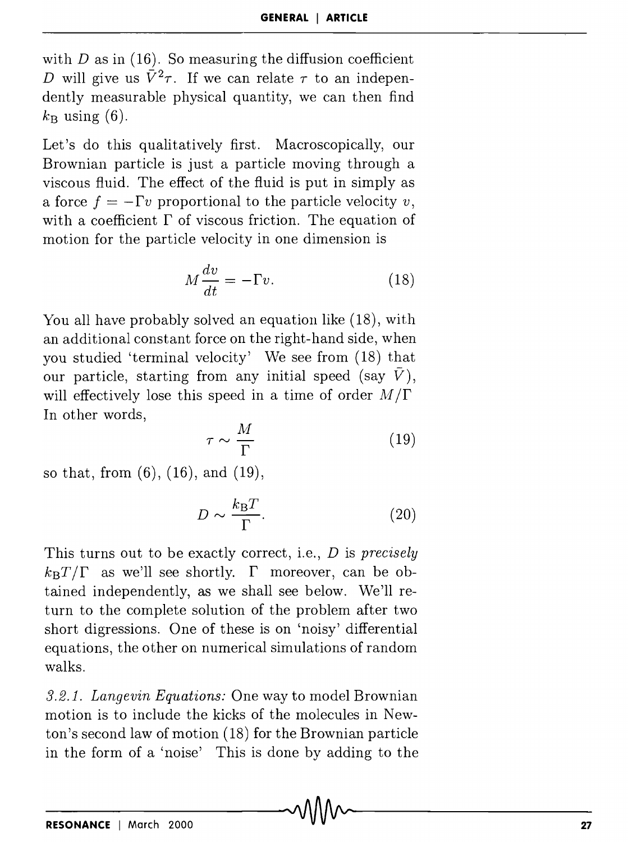with  $D$  as in (16). So measuring the diffusion coefficient *D* will give us  $\bar{V}^2 \tau$ . If we can relate  $\tau$  to an independently measurable physical quantity, we can then find  $k_{\rm B}$  using (6).

Let's do this qualitatively first. Macroscopically, our Brownian particle is just a particle moving through a viscous fluid. The effect of the fluid is put in simply as a force  $f = -\Gamma v$  proportional to the particle velocity *v*, with a coefficient  $\Gamma$  of viscous friction. The equation of motion for the particle velocity in one dimension is

$$
M\frac{dv}{dt} = -\Gamma v.\tag{18}
$$

You all have probably solved an equation like (18), with an additional constant force on the right-hand side, when you studied 'terminal velocity' We see from (18) that our particle, starting from any initial speed (say  $\bar{V}$ ), will effectively lose this speed in a time of order  $M/\Gamma$ In other words,

$$
\tau \sim \frac{M}{\Gamma} \tag{19}
$$

so that, from (6), (16), and (19),

$$
D \sim \frac{k_{\rm B}T}{\Gamma}.\tag{20}
$$

This turns out to be exactly correct, i.e., *D* is *precisely*   $k_BT/\Gamma$  as we'll see shortly.  $\Gamma$  moreover, can be obtained independently, as we shall see below. We'll return to the complete solution of the problem after two short digressions. One of these is on 'noisy' differential equations, the other on numerical simulations of random walks.

*3.2.1. Langevin Equations:* One way to model Brownian motion is to include the kicks of the molecules in Newton's second law of motion (18) for the Brownian particle in the form of a 'noise' This is done by adding to the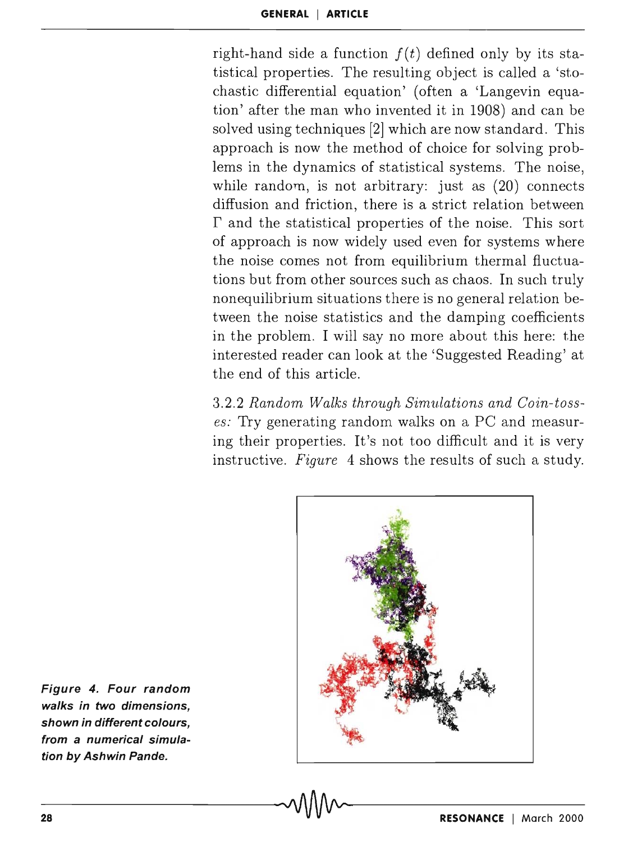right-hand side a function  $f(t)$  defined only by its statistical properties. The resulting object is called a 'stochastic differential equation' (often a 'Langevin equation' after the man who invented it in 1908) and can be solved using techniques [2] which are now standard. This approach is now the method of choice for solving problems in the dynamics of statistical systems. The noise, while random, is not arbitrary: just as  $(20)$  connects diffusion and friction, there is a strict relation between  $\Gamma$  and the statistical properties of the noise. This sort of approach is now widely used even for systems where the noise comes not from equilibrium thermal fluctuations but from other sources such as chaos. **In** such truly nonequilibrium situations there is no general relation between the noise statistics and the damping coefficients in the problem. I will say no more about this here: the interested reader can look at the 'Suggested Reading' at the end of this article.

*3.2.2 Random Walks through Simulations and Co'in-tosses:* Try generating random walks on a PC and measuring their properties. It's not too difficult and it is very instructive. *Figure* 4 shows the results of such a study.



**Figure 4. Four random walks in two dimensions, shown in different colours, from a numerical simulation by Ashwin Pande.**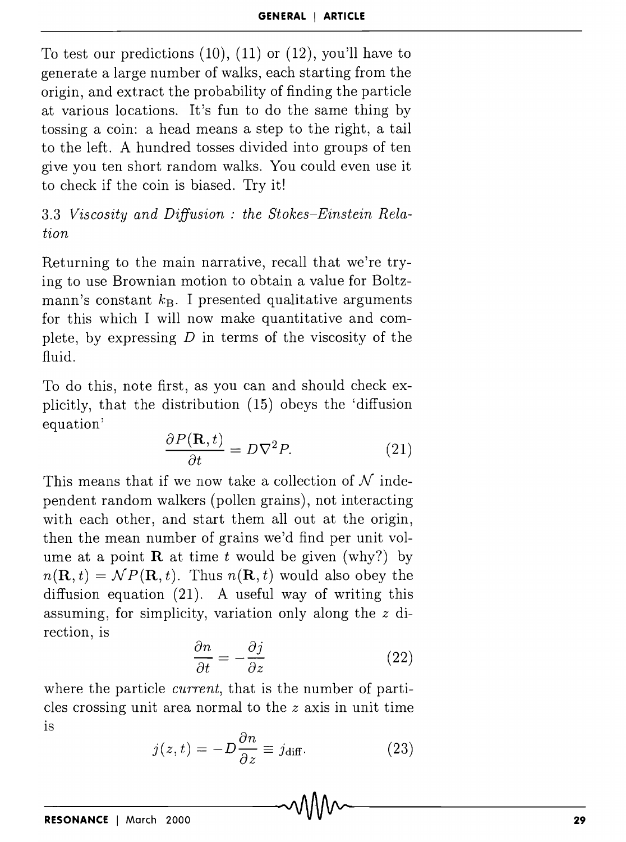To test our predictions (10), (11) or (12), you'll have to generate a large number of walks, each starting from the origin, and extract the probability of finding the particle at various locations. It's fun to do the same thing by tossing a coin: a head means a step to the right, a tail to the left. A hundred tosses divided into groups of ten give you ten short random walks. You could even use it to check if the coin is biased. Try it!

*3.3 Viscosity and Diffusion: the Stokes-Einstein Relation* 

Returning to the main narrative, recall that we're trying to use Brownian motion to obtain a value for Boltzmann's constant  $k_B$ . I presented qualitative arguments for this which I will now make quantitative and complete, by expressing  $D$  in terms of the viscosity of the fluid.

To do this, note first, as you can and should check explicitly, that the distribution (15) obeys the 'diffusion equation'

$$
\frac{\partial P(\mathbf{R},t)}{\partial t} = D\nabla^2 P.
$$
 (21)

This means that if we now take a collection of *N* independent random walkers (pollen grains), not interacting with each other, and start them all out at the origin, then the mean number of grains we'd find per unit volume at a point **R** at time t would be given (why?) by  $n(\mathbf{R}, t) = \mathcal{N} P(\mathbf{R}, t)$ . Thus  $n(\mathbf{R}, t)$  would also obey the diffusion equation (21). A useful way of writing this assuming, for simplicity, variation only along the *z* direction, is

$$
\frac{\partial n}{\partial t} = -\frac{\partial j}{\partial z} \tag{22}
$$

where the particle *current,* that is the number of particles crossing unit area normal to the *z* axis in unit time is

$$
j(z,t) = -D\frac{\partial n}{\partial z} \equiv j_{\text{diff}}.\tag{23}
$$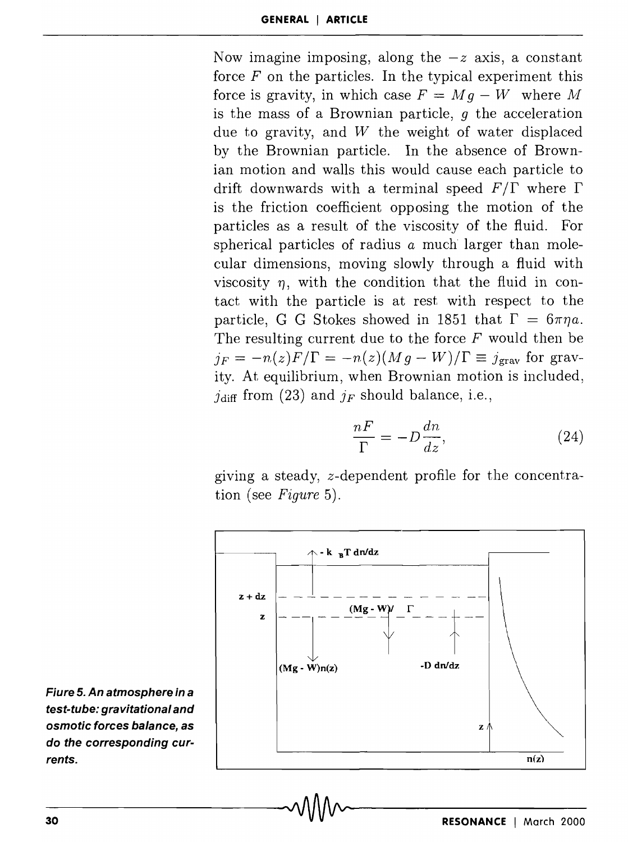Now imagine imposing, along the  $-z$  axis, a constant force *F* on the particles. In the typical experiment this force is gravity, in which case  $F = Mq - W$  where M is the mass of a Brownian particle, *9* the acceleration due to gravity, and *W* the weight of water displaced by the Brownian particle. In the absence of Brownian motion and walls this would cause each particle to drift downwards with a terminal speed  $F/\Gamma$  where  $\Gamma$ is the friction coefficient opposing the motion of the particles as a result of the viscosity of the fluid. For spherical particles of radius *a* much larger than molecular dimensions, moving slowly through a fluid with viscosity  $\eta$ , with the condition that the fluid in contact with the particle is at rest with respect to the particle, G G Stokes showed in 1851 that  $\Gamma = 6\pi\eta a$ . The resulting current due to the force *F* would then be  $j_F = -n(z)F/\Gamma = -n(z)(Mq - W)/\Gamma \equiv j_{grav}$  for gravity. At equilibrium, when Brownian motion is included,  $j_{\text{diff}}$  from (23) and  $j_F$  should balance, i.e.,

$$
\frac{nF}{\Gamma} = -D\frac{dn}{dz},\tag{24}
$$

giving a steady, z-dependent profile for the concentration (see *Figure 5).* 



-30------------------------------~~----------------------------

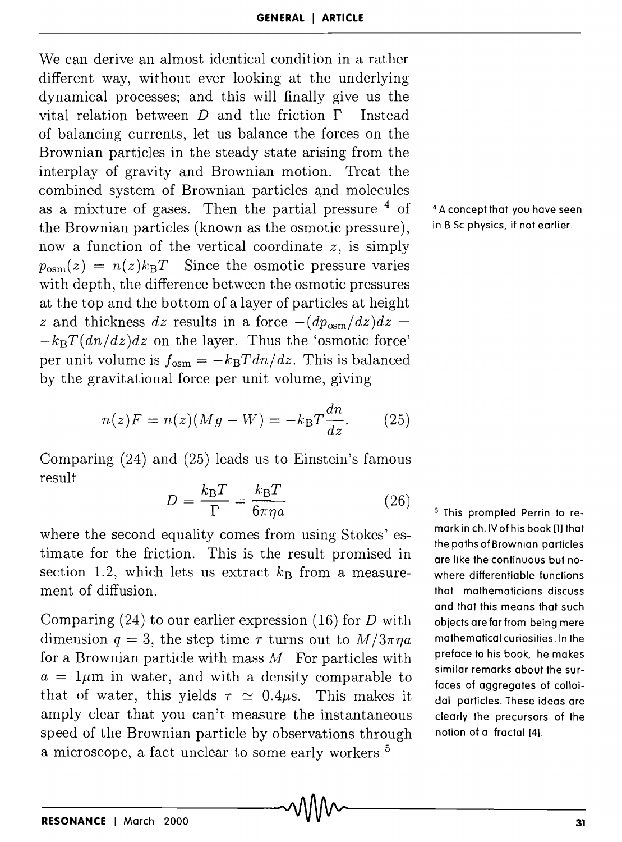We can derive an almost identical condition in a rather different way, without ever looking at the underlying dynamical processes; and this will finally give us the vital relation between  $D$  and the friction  $\Gamma$  Instead of balancing currents, let us balance the forces on the Brownian particles in the steady state arising from the interplay of gravity and Brownian motion. Treat the combined system of Brownian particles and molecules as a mixture of gases. Then the partial pressure  $4$  of the Brownian particles (known as the osmotic pressure), now a function of the vertical coordinate *z,* is simply  $p_{\text{osm}}(z) = n(z)k_BT$  Since the osmotic pressure varies with depth, the difference between the osmotic pressures at the top and the bottom of a layer of particles at height *z* and thickness *dz* results in a force  $-(dp_{\text{osm}}/dz)dz =$  $-k_BT (dn/dz)dz$  on the layer. Thus the 'osmotic force' per unit volume is  $f_{\text{osm}} = -k_B T dn/dz$ . This is balanced by the gravitational force per unit volume, giving

$$
n(z)F = n(z)(Mg - W) = -k_{\rm B}T\frac{dn}{dz}.
$$
 (25)

Comparing (24) and (25) leads us to Einstein's famous result

$$
D = \frac{k_{\rm B}T}{\Gamma} = \frac{k_{\rm B}T}{6\pi\eta a} \tag{26}
$$

where the second equality comes from using Stokes' estimate for the friction. This is the result promised in section 1.2, which lets us extract  $k_B$  from a measurement of diffusion.

Comparing (24) to our earlier expression (16) for *D* with dimension  $q = 3$ , the step time  $\tau$  turns out to  $M/3\pi n a$ for a Brownian particle with mass  $M$  For particles with  $a = 1 \mu m$  in water, and with a density comparable to that of water, this yields  $\tau \simeq 0.4 \mu s$ . This makes it amply clear that you can't measure the instantaneous speed of the Brownian particle by observations through a microscope, a fact unclear to some early workers 5

<sup>4</sup>A concept that you have seen in B Sc physics, if not earlier.

5 This prompted Perrin to remark in ch.IVof his book [l) that the paths of Brownian particles are like the continuous but nowhere differentiable functions that mathematicians discuss and that this means that such objects are far from being mere mathematical curiosities. In the preface to his book, he makes similar remarks about the surfaces of aggregates of colloidal particles. These ideas are clearly the precursors of the notion of a fractal (4).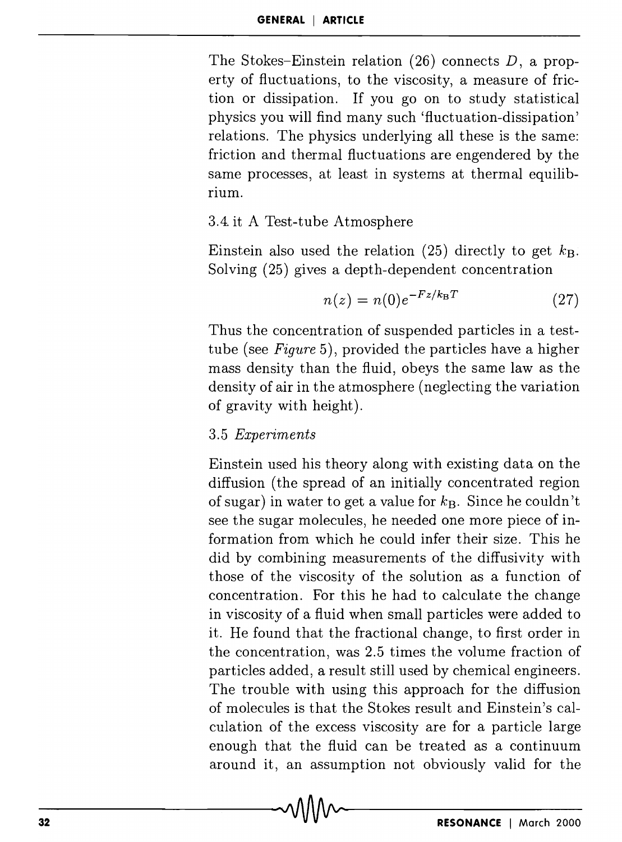The Stokes-Einstein relation (26) connects *D,* a property of fluctuations, to the viscosity, a measure of friction or dissipation. If you go on to study statistical physics you will find many such 'fluctuation-dissipation' relations. The physics underlying all these is the same: friction and thermal fluctuations are engendered by the same processes, at least in systems at thermal equilibrium.

### 3.4. it A Test-tube Atmosphere

Einstein also used the relation  $(25)$  directly to get  $k_B$ . Solving (25) gives a depth-dependent concentration

$$
n(z) = n(0)e^{-Fz/k_{\rm B}T}
$$
\n<sup>(27)</sup>

Thus the concentration of suspended particles in a testtube (see *Figure* 5), provided the particles have a higher mass density than the fluid, obeys the same law as the density of air in the atmosphere (neglecting the variation of gravity with height).

### *3.5 Experiments*

Einstein used his theory along with existing data on the diffusion (the spread of an initially concentrated region of sugar) in water to get a value for  $k_B$ . Since he couldn't see the sugar molecules, he needed one more piece of information from which he could infer their size. This he did by combining measurements of the diffusivity with those of the viscosity of the solution as a function of concentration. For this he had to calculate the change in viscosity of a fluid when small particles were added to it. He found that the fractional change, to first order in the concentration, was 2.5 times the volume fraction of particles added, a result still used by chemical engineers. The trouble with using this approach for the diffusion of molecules is that the Stokes result and Einstein's calculation of the excess viscosity are for a particle large enough that the fluid can be treated as a continuum around it, an assumption not obviously valid for the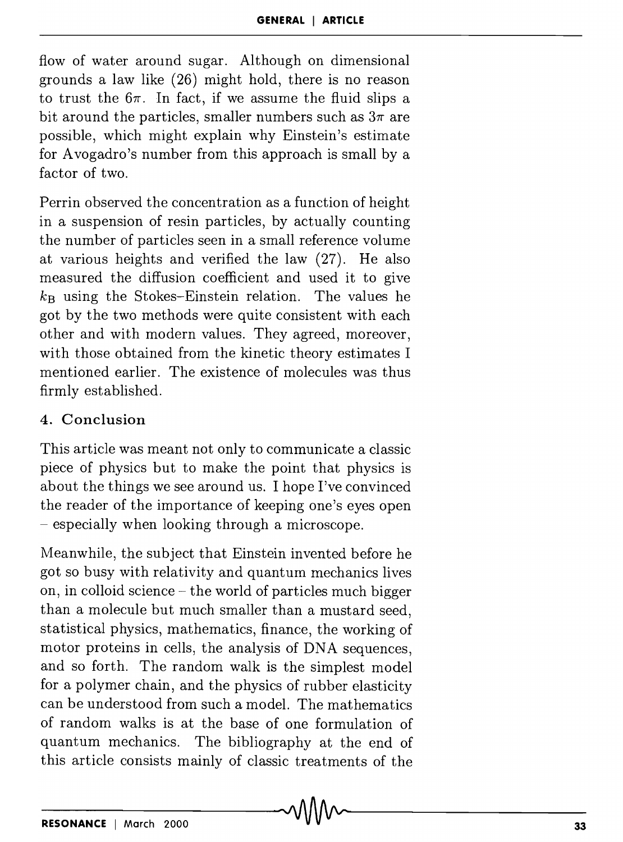flow of water around sugar. Although on dimensional grounds a law like (26) might hold, there is no reason to trust the  $6\pi$ . In fact, if we assume the fluid slips a bit around the particles, smaller numbers such as  $3\pi$  are possible, which might explain why Einstein's estimate for Avogadro's number from this approach is small by a factor of two.

Perrin observed the concentration as a function of height in a suspension of resin particles, by actually counting the number of particles seen in a small reference volume at various heights and verified the law (27). He also measured the diffusion coefficient and used it to give  $k_B$  using the Stokes-Einstein relation. The values he got by the two methods were quite consistent with each other and with modern values. They agreed, moreover, with those obtained from the kinetic theory estimates I mentioned earlier. The existence of molecules was thus firmly established.

# 4. Conclusion

This article was meant not only to communicate a classic piece of physics but to make the point that physics is about the things we see around us. I hope I've convinced the reader of the importance of keeping one's eyes open - especially when looking through a microscope.

Meanwhile, the subject that Einstein invented before he got so busy with relativity and quantum mechanics lives on, in colloid science - the world of particles much bigger than a molecule but much smaller than a mustard seed, statistical physics, mathematics, finance, the working of motor proteins in cells, the analysis of DNA sequences, and so forth. The random walk is the simplest model for a polymer chain, and the physics of rubber elasticity can be understood from such a model. The mathematics of random walks is at the base of one formulation of quantum mechanics. The bibliography at the end of this article consists mainly of classic treatments of the